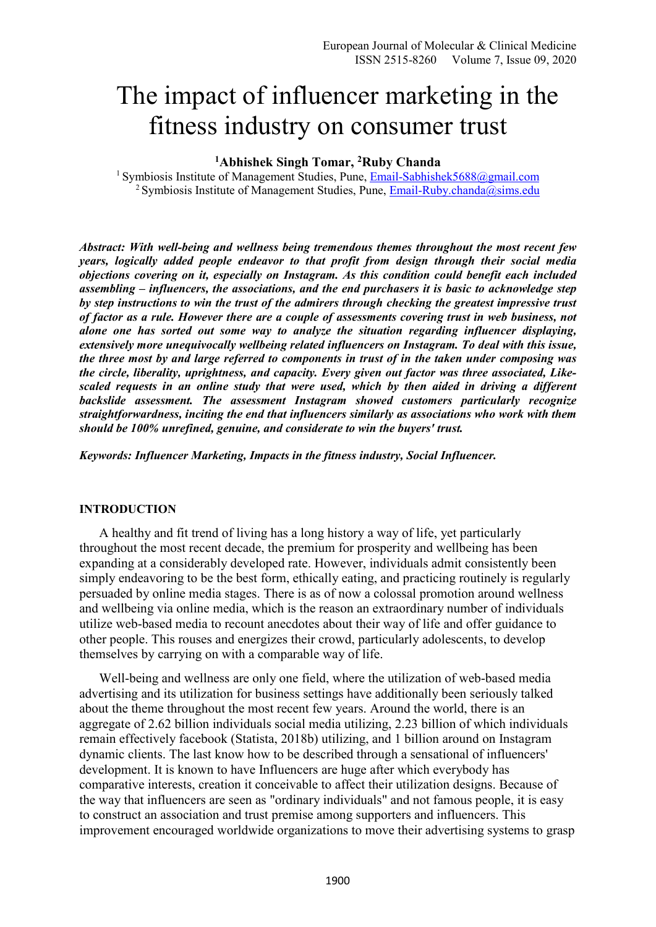# The impact of influencer marketing in the fitness industry on consumer trust

**<sup>1</sup>Abhishek Singh Tomar, <sup>2</sup>Ruby Chanda** 

<sup>1</sup> Symbiosis Institute of Management Studies, Pune, Email-Sabhishek5688@gmail.com <sup>2</sup> Symbiosis Institute of Management Studies, Pune,  $Email-Ruby.chanda@sims.edu$ 

*Abstract: With well-being and wellness being tremendous themes throughout the most recent few years, logically added people endeavor to that profit from design through their social media objections covering on it, especially on Instagram. As this condition could benefit each included assembling – influencers, the associations, and the end purchasers it is basic to acknowledge step by step instructions to win the trust of the admirers through checking the greatest impressive trust of factor as a rule. However there are a couple of assessments covering trust in web business, not alone one has sorted out some way to analyze the situation regarding influencer displaying, extensively more unequivocally wellbeing related influencers on Instagram. To deal with this issue, the three most by and large referred to components in trust of in the taken under composing was the circle, liberality, uprightness, and capacity. Every given out factor was three associated, Likescaled requests in an online study that were used, which by then aided in driving a different backslide assessment. The assessment Instagram showed customers particularly recognize straightforwardness, inciting the end that influencers similarly as associations who work with them should be 100% unrefined, genuine, and considerate to win the buyers' trust.* 

*Keywords: Influencer Marketing, Impacts in the fitness industry, Social Influencer.* 

#### **INTRODUCTION**

A healthy and fit trend of living has a long history a way of life, yet particularly throughout the most recent decade, the premium for prosperity and wellbeing has been expanding at a considerably developed rate. However, individuals admit consistently been simply endeavoring to be the best form, ethically eating, and practicing routinely is regularly persuaded by online media stages. There is as of now a colossal promotion around wellness and wellbeing via online media, which is the reason an extraordinary number of individuals utilize web-based media to recount anecdotes about their way of life and offer guidance to other people. This rouses and energizes their crowd, particularly adolescents, to develop themselves by carrying on with a comparable way of life.

Well-being and wellness are only one field, where the utilization of web-based media advertising and its utilization for business settings have additionally been seriously talked about the theme throughout the most recent few years. Around the world, there is an aggregate of 2.62 billion individuals social media utilizing, 2.23 billion of which individuals remain effectively facebook (Statista, 2018b) utilizing, and 1 billion around on Instagram dynamic clients. The last know how to be described through a sensational of influencers' development. It is known to have Influencers are huge after which everybody has comparative interests, creation it conceivable to affect their utilization designs. Because of the way that influencers are seen as "ordinary individuals" and not famous people, it is easy to construct an association and trust premise among supporters and influencers. This improvement encouraged worldwide organizations to move their advertising systems to grasp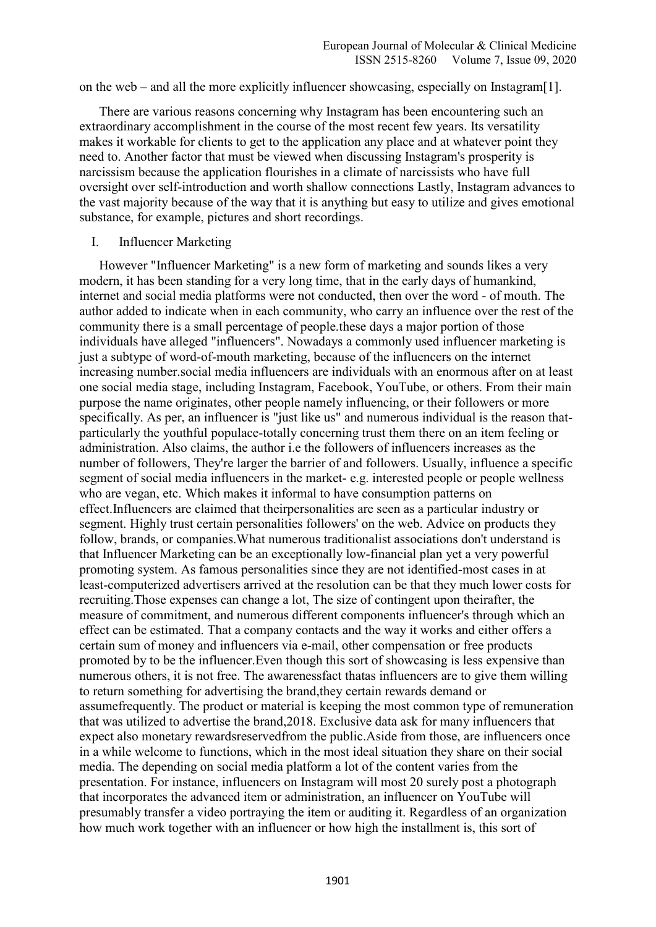on the web – and all the more explicitly influencer showcasing, especially on Instagram[1].

There are various reasons concerning why Instagram has been encountering such an extraordinary accomplishment in the course of the most recent few years. Its versatility makes it workable for clients to get to the application any place and at whatever point they need to. Another factor that must be viewed when discussing Instagram's prosperity is narcissism because the application flourishes in a climate of narcissists who have full oversight over self-introduction and worth shallow connections Lastly, Instagram advances to the vast majority because of the way that it is anything but easy to utilize and gives emotional substance, for example, pictures and short recordings.

I. Influencer Marketing

However "Influencer Marketing" is a new form of marketing and sounds likes a very modern, it has been standing for a very long time, that in the early days of humankind, internet and social media platforms were not conducted, then over the word - of mouth. The author added to indicate when in each community, who carry an influence over the rest of the community there is a small percentage of people.these days a major portion of those individuals have alleged "influencers". Nowadays a commonly used influencer marketing is just a subtype of word-of-mouth marketing, because of the influencers on the internet increasing number.social media influencers are individuals with an enormous after on at least one social media stage, including Instagram, Facebook, YouTube, or others. From their main purpose the name originates, other people namely influencing, or their followers or more specifically. As per, an influencer is "just like us" and numerous individual is the reason thatparticularly the youthful populace-totally concerning trust them there on an item feeling or administration. Also claims, the author i.e the followers of influencers increases as the number of followers, They're larger the barrier of and followers. Usually, influence a specific segment of social media influencers in the market- e.g. interested people or people wellness who are vegan, etc. Which makes it informal to have consumption patterns on effect.Influencers are claimed that theirpersonalities are seen as a particular industry or segment. Highly trust certain personalities followers' on the web. Advice on products they follow, brands, or companies.What numerous traditionalist associations don't understand is that Influencer Marketing can be an exceptionally low-financial plan yet a very powerful promoting system. As famous personalities since they are not identified-most cases in at least-computerized advertisers arrived at the resolution can be that they much lower costs for recruiting.Those expenses can change a lot, The size of contingent upon theirafter, the measure of commitment, and numerous different components influencer's through which an effect can be estimated. That a company contacts and the way it works and either offers a certain sum of money and influencers via e-mail, other compensation or free products promoted by to be the influencer.Even though this sort of showcasing is less expensive than numerous others, it is not free. The awarenessfact thatas influencers are to give them willing to return something for advertising the brand,they certain rewards demand or assumefrequently. The product or material is keeping the most common type of remuneration that was utilized to advertise the brand,2018. Exclusive data ask for many influencers that expect also monetary rewardsreservedfrom the public.Aside from those, are influencers once in a while welcome to functions, which in the most ideal situation they share on their social media. The depending on social media platform a lot of the content varies from the presentation. For instance, influencers on Instagram will most 20 surely post a photograph that incorporates the advanced item or administration, an influencer on YouTube will presumably transfer a video portraying the item or auditing it. Regardless of an organization how much work together with an influencer or how high the installment is, this sort of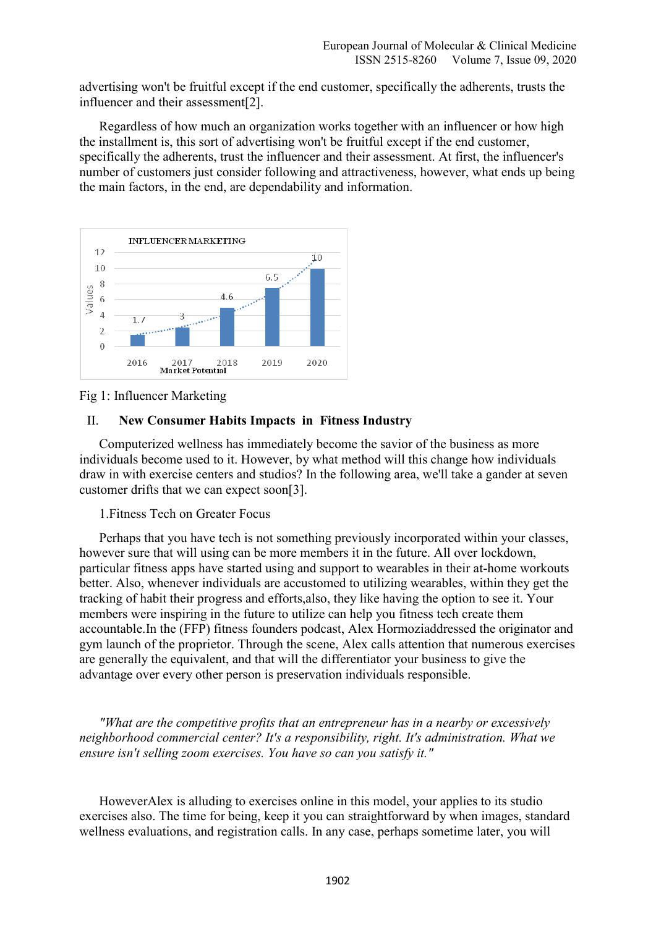advertising won't be fruitful except if the end customer, specifically the adherents, trusts the influencer and their assessment[2].

Regardless of how much an organization works together with an influencer or how high the installment is, this sort of advertising won't be fruitful except if the end customer, specifically the adherents, trust the influencer and their assessment. At first, the influencer's number of customers just consider following and attractiveness, however, what ends up being the main factors, in the end, are dependability and information.



Fig 1: Influencer Marketing

## II. **New Consumer Habits Impacts in Fitness Industry**

Computerized wellness has immediately become the savior of the business as more individuals become used to it. However, by what method will this change how individuals draw in with exercise centers and studios? In the following area, we'll take a gander at seven customer drifts that we can expect soon[3].

## 1.Fitness Tech on Greater Focus

Perhaps that you have tech is not something previously incorporated within your classes, however sure that will using can be more members it in the future. All over lockdown, particular fitness apps have started using and support to wearables in their at-home workouts better. Also, whenever individuals are accustomed to utilizing wearables, within they get the tracking of habit their progress and efforts,also, they like having the option to see it. Your members were inspiring in the future to utilize can help you fitness tech create them accountable.In the (FFP) fitness founders podcast, Alex Hormoziaddressed the originator and gym launch of the proprietor. Through the scene, Alex calls attention that numerous exercises are generally the equivalent, and that will the differentiator your business to give the advantage over every other person is preservation individuals responsible.

*"What are the competitive profits that an entrepreneur has in a nearby or excessively neighborhood commercial center? It's a responsibility, right. It's administration. What we ensure isn't selling zoom exercises. You have so can you satisfy it."* 

HoweverAlex is alluding to exercises online in this model, your applies to its studio exercises also. The time for being, keep it you can straightforward by when images, standard wellness evaluations, and registration calls. In any case, perhaps sometime later, you will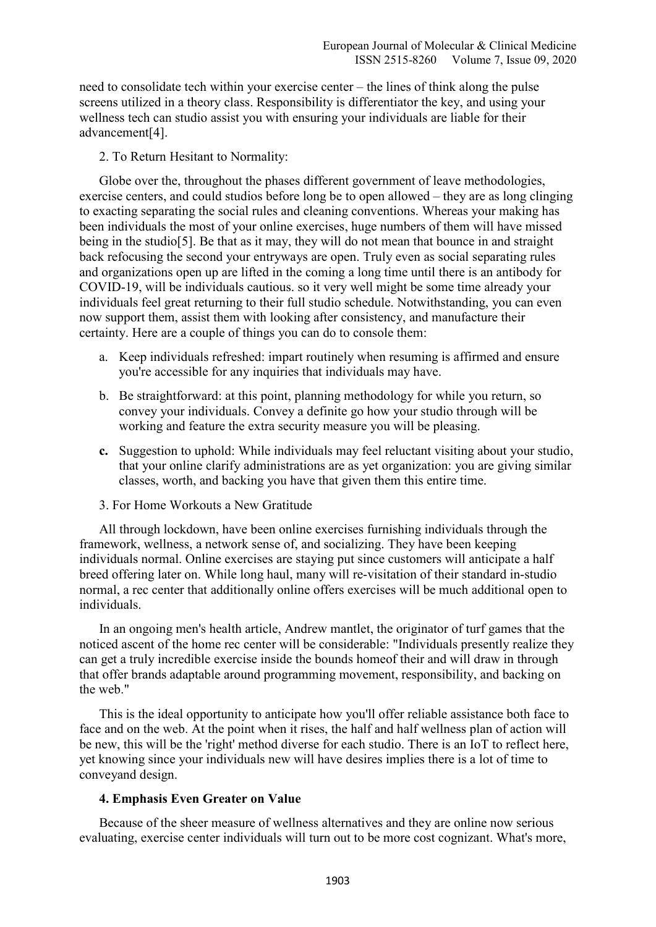need to consolidate tech within your exercise center – the lines of think along the pulse screens utilized in a theory class. Responsibility is differentiator the key, and using your wellness tech can studio assist you with ensuring your individuals are liable for their advancement[4].

2. To Return Hesitant to Normality:

Globe over the, throughout the phases different government of leave methodologies, exercise centers, and could studios before long be to open allowed – they are as long clinging to exacting separating the social rules and cleaning conventions. Whereas your making has been individuals the most of your online exercises, huge numbers of them will have missed being in the studio[5]. Be that as it may, they will do not mean that bounce in and straight back refocusing the second your entryways are open. Truly even as social separating rules and organizations open up are lifted in the coming a long time until there is an antibody for COVID-19, will be individuals cautious. so it very well might be some time already your individuals feel great returning to their full studio schedule. Notwithstanding, you can even now support them, assist them with looking after consistency, and manufacture their certainty. Here are a couple of things you can do to console them:

- a. Keep individuals refreshed: impart routinely when resuming is affirmed and ensure you're accessible for any inquiries that individuals may have.
- b. Be straightforward: at this point, planning methodology for while you return, so convey your individuals. Convey a definite go how your studio through will be working and feature the extra security measure you will be pleasing.
- **c.** Suggestion to uphold: While individuals may feel reluctant visiting about your studio, that your online clarify administrations are as yet organization: you are giving similar classes, worth, and backing you have that given them this entire time.
- 3. For Home Workouts a New Gratitude

All through lockdown, have been online exercises furnishing individuals through the framework, wellness, a network sense of, and socializing. They have been keeping individuals normal. Online exercises are staying put since customers will anticipate a half breed offering later on. While long haul, many will re-visitation of their standard in-studio normal, a rec center that additionally online offers exercises will be much additional open to individuals.

In an ongoing men's health article, Andrew mantlet, the originator of turf games that the noticed ascent of the home rec center will be considerable: "Individuals presently realize they can get a truly incredible exercise inside the bounds homeof their and will draw in through that offer brands adaptable around programming movement, responsibility, and backing on the web."

This is the ideal opportunity to anticipate how you'll offer reliable assistance both face to face and on the web. At the point when it rises, the half and half wellness plan of action will be new, this will be the 'right' method diverse for each studio. There is an IoT to reflect here, yet knowing since your individuals new will have desires implies there is a lot of time to conveyand design.

## **4. Emphasis Even Greater on Value**

Because of the sheer measure of wellness alternatives and they are online now serious evaluating, exercise center individuals will turn out to be more cost cognizant. What's more,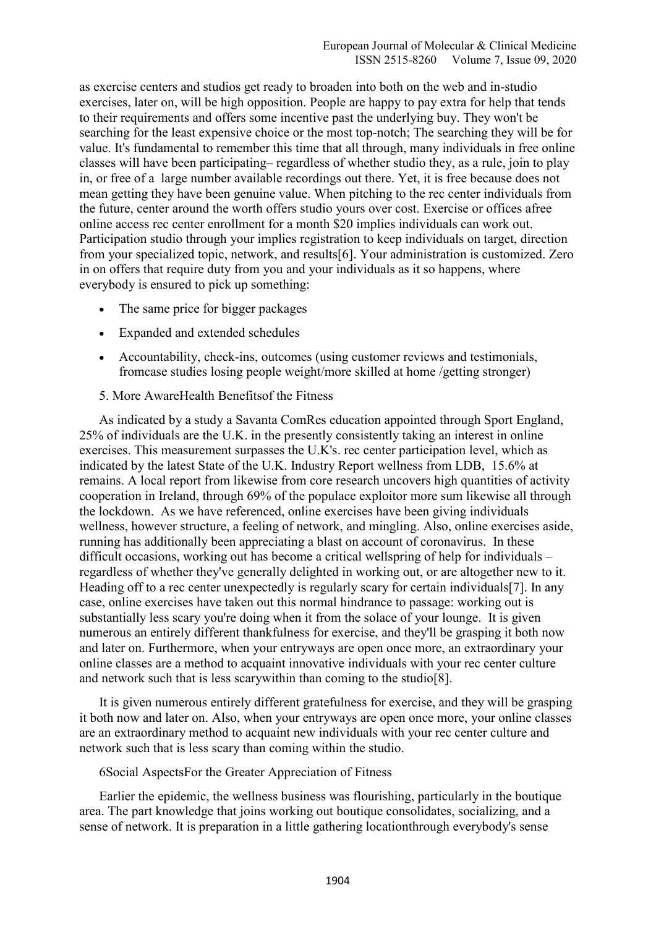as exercise centers and studios get ready to broaden into both on the web and in-studio exercises, later on, will be high opposition. People are happy to pay extra for help that tends to their requirements and offers some incentive past the underlying buy. They won't be searching for the least expensive choice or the most top-notch; The searching they will be for value. It's fundamental to remember this time that all through, many individuals in free online classes will have been participating– regardless of whether studio they, as a rule, join to play in, or free of a large number available recordings out there. Yet, it is free because does not mean getting they have been genuine value. When pitching to the rec center individuals from the future, center around the worth offers studio yours over cost. Exercise or offices afree online access rec center enrollment for a month \$20 implies individuals can work out. Participation studio through your implies registration to keep individuals on target, direction from your specialized topic, network, and results[6]. Your administration is customized. Zero in on offers that require duty from you and your individuals as it so happens, where everybody is ensured to pick up something:

- The same price for bigger packages
- Expanded and extended schedules
- Accountability, check-ins, outcomes (using customer reviews and testimonials, fromcase studies losing people weight/more skilled at home /getting stronger)
- 5. More AwareHealth Benefitsof the Fitness

As indicated by a study a Savanta ComRes education appointed through Sport England, 25% of individuals are the U.K. in the presently consistently taking an interest in online exercises. This measurement surpasses the U.K's. rec center participation level, which as indicated by the latest State of the U.K. Industry Report wellness from LDB, 15.6% at remains. A local report from likewise from core research uncovers high quantities of activity cooperation in Ireland, through 69% of the populace exploitor more sum likewise all through the lockdown. As we have referenced, online exercises have been giving individuals wellness, however structure, a feeling of network, and mingling. Also, online exercises aside, running has additionally been appreciating a blast on account of coronavirus. In these difficult occasions, working out has become a critical wellspring of help for individuals – regardless of whether they've generally delighted in working out, or are altogether new to it. Heading off to a rec center unexpectedly is regularly scary for certain individuals[7]. In any case, online exercises have taken out this normal hindrance to passage: working out is substantially less scary you're doing when it from the solace of your lounge. It is given numerous an entirely different thankfulness for exercise, and they'll be grasping it both now and later on. Furthermore, when your entryways are open once more, an extraordinary your online classes are a method to acquaint innovative individuals with your rec center culture and network such that is less scarywithin than coming to the studio[8].

It is given numerous entirely different gratefulness for exercise, and they will be grasping it both now and later on. Also, when your entryways are open once more, your online classes are an extraordinary method to acquaint new individuals with your rec center culture and network such that is less scary than coming within the studio.

#### 6Social AspectsFor the Greater Appreciation of Fitness

Earlier the epidemic, the wellness business was flourishing, particularly in the boutique area. The part knowledge that joins working out boutique consolidates, socializing, and a sense of network. It is preparation in a little gathering locationthrough everybody's sense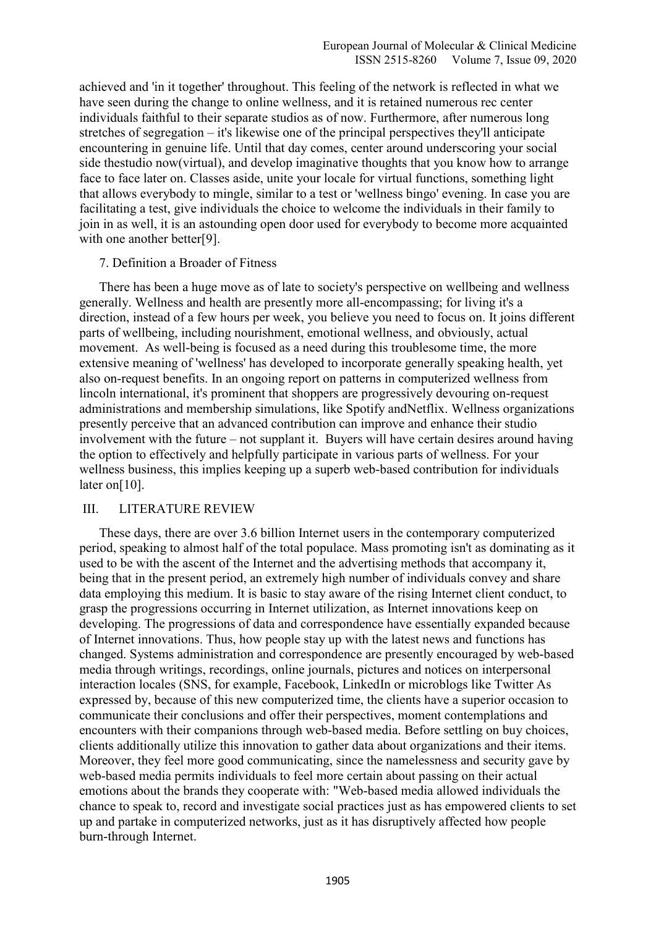achieved and 'in it together' throughout. This feeling of the network is reflected in what we have seen during the change to online wellness, and it is retained numerous rec center individuals faithful to their separate studios as of now. Furthermore, after numerous long stretches of segregation – it's likewise one of the principal perspectives they'll anticipate encountering in genuine life. Until that day comes, center around underscoring your social side thestudio now(virtual), and develop imaginative thoughts that you know how to arrange face to face later on. Classes aside, unite your locale for virtual functions, something light that allows everybody to mingle, similar to a test or 'wellness bingo' evening. In case you are facilitating a test, give individuals the choice to welcome the individuals in their family to join in as well, it is an astounding open door used for everybody to become more acquainted with one another better[9].

## 7. Definition a Broader of Fitness

There has been a huge move as of late to society's perspective on wellbeing and wellness generally. Wellness and health are presently more all-encompassing; for living it's a direction, instead of a few hours per week, you believe you need to focus on. It joins different parts of wellbeing, including nourishment, emotional wellness, and obviously, actual movement. As well-being is focused as a need during this troublesome time, the more extensive meaning of 'wellness' has developed to incorporate generally speaking health, yet also on-request benefits. In an ongoing report on patterns in computerized wellness from lincoln international, it's prominent that shoppers are progressively devouring on-request administrations and membership simulations, like Spotify andNetflix. Wellness organizations presently perceive that an advanced contribution can improve and enhance their studio involvement with the future – not supplant it. Buyers will have certain desires around having the option to effectively and helpfully participate in various parts of wellness. For your wellness business, this implies keeping up a superb web-based contribution for individuals later on [10].

## III. LITERATURE REVIEW

These days, there are over 3.6 billion Internet users in the contemporary computerized period, speaking to almost half of the total populace. Mass promoting isn't as dominating as it used to be with the ascent of the Internet and the advertising methods that accompany it, being that in the present period, an extremely high number of individuals convey and share data employing this medium. It is basic to stay aware of the rising Internet client conduct, to grasp the progressions occurring in Internet utilization, as Internet innovations keep on developing. The progressions of data and correspondence have essentially expanded because of Internet innovations. Thus, how people stay up with the latest news and functions has changed. Systems administration and correspondence are presently encouraged by web-based media through writings, recordings, online journals, pictures and notices on interpersonal interaction locales (SNS, for example, Facebook, LinkedIn or microblogs like Twitter As expressed by, because of this new computerized time, the clients have a superior occasion to communicate their conclusions and offer their perspectives, moment contemplations and encounters with their companions through web-based media. Before settling on buy choices, clients additionally utilize this innovation to gather data about organizations and their items. Moreover, they feel more good communicating, since the namelessness and security gave by web-based media permits individuals to feel more certain about passing on their actual emotions about the brands they cooperate with: "Web-based media allowed individuals the chance to speak to, record and investigate social practices just as has empowered clients to set up and partake in computerized networks, just as it has disruptively affected how people burn-through Internet.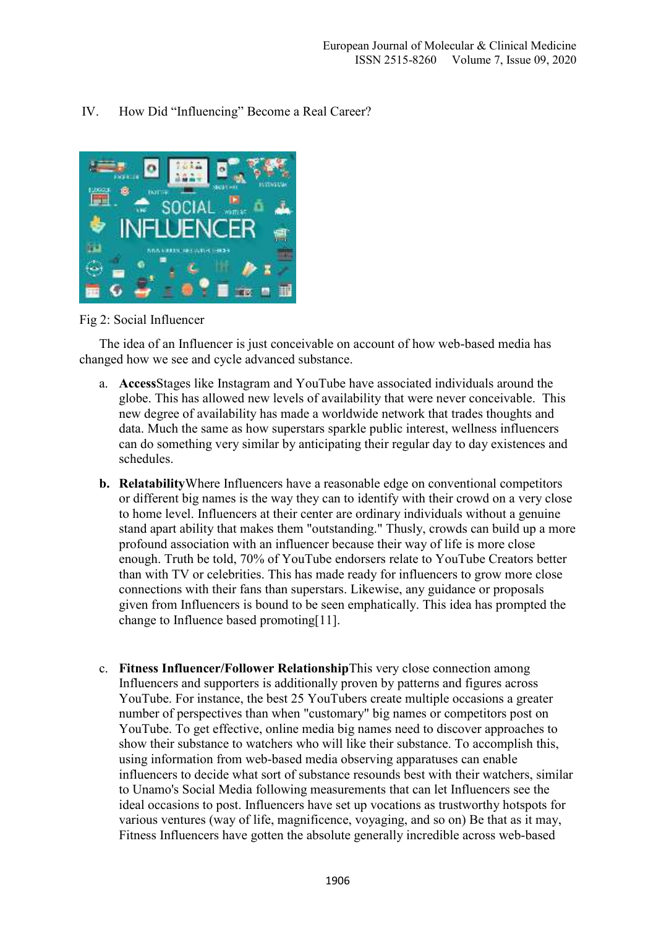# IV. How Did "Influencing" Become a Real Career?



Fig 2: Social Influencer

The idea of an Influencer is just conceivable on account of how web-based media has changed how we see and cycle advanced substance.

- a. **Access**Stages like Instagram and YouTube have associated individuals around the globe. This has allowed new levels of availability that were never conceivable. This new degree of availability has made a worldwide network that trades thoughts and data. Much the same as how superstars sparkle public interest, wellness influencers can do something very similar by anticipating their regular day to day existences and schedules.
- **b. Relatability**Where Influencers have a reasonable edge on conventional competitors or different big names is the way they can to identify with their crowd on a very close to home level. Influencers at their center are ordinary individuals without a genuine stand apart ability that makes them "outstanding." Thusly, crowds can build up a more profound association with an influencer because their way of life is more close enough. Truth be told, 70% of YouTube endorsers relate to YouTube Creators better than with TV or celebrities. This has made ready for influencers to grow more close connections with their fans than superstars. Likewise, any guidance or proposals given from Influencers is bound to be seen emphatically. This idea has prompted the change to Influence based promoting[11].
- c. **Fitness Influencer/Follower Relationship**This very close connection among Influencers and supporters is additionally proven by patterns and figures across YouTube. For instance, the best 25 YouTubers create multiple occasions a greater number of perspectives than when "customary" big names or competitors post on YouTube. To get effective, online media big names need to discover approaches to show their substance to watchers who will like their substance. To accomplish this, using information from web-based media observing apparatuses can enable influencers to decide what sort of substance resounds best with their watchers, similar to Unamo's Social Media following measurements that can let Influencers see the ideal occasions to post. Influencers have set up vocations as trustworthy hotspots for various ventures (way of life, magnificence, voyaging, and so on) Be that as it may, Fitness Influencers have gotten the absolute generally incredible across web-based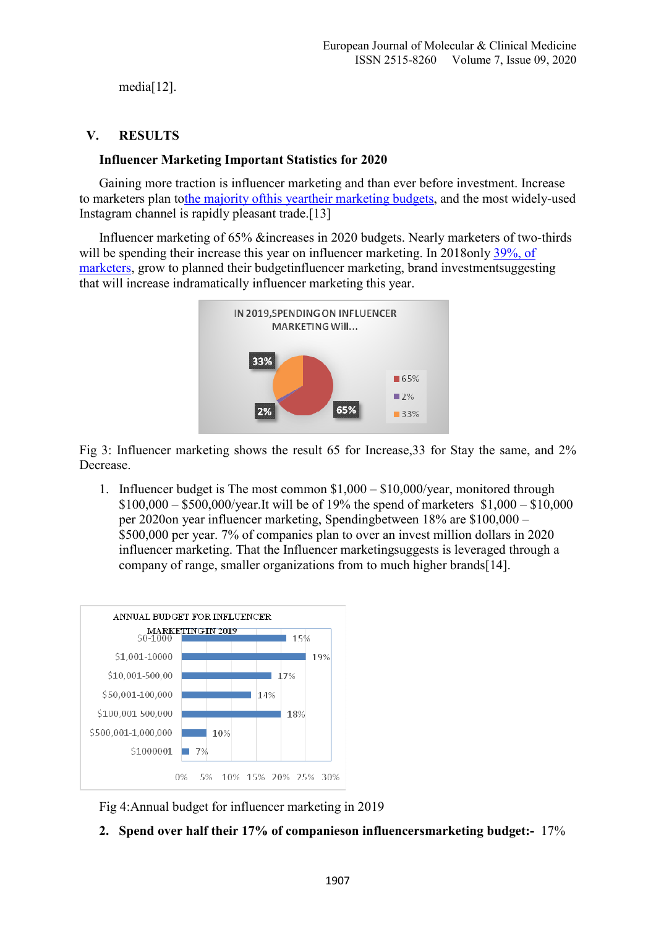media[12].

# **V. RESULTS**

# **Influencer Marketing Important Statistics for 2020**

Gaining more traction is influencer marketing and than ever before investment. Increase to marketers plan tothe majority ofthis yeartheir marketing budgets, and the most widely-used Instagram channel is rapidly pleasant trade.[13]

Influencer marketing of 65% &increases in 2020 budgets. Nearly marketers of two-thirds will be spending their increase this year on influencer marketing. In 2018only 39%, of marketers, grow to planned their budgetinfluencer marketing, brand investmentsuggesting that will increase indramatically influencer marketing this year.



Fig 3: Influencer marketing shows the result 65 for Increase,33 for Stay the same, and 2% Decrease.

1. Influencer budget is The most common \$1,000 – \$10,000/year, monitored through \$100,000 – \$500,000/year.It will be of 19% the spend of marketers \$1,000 – \$10,000 per 2020on year influencer marketing, Spendingbetween 18% are \$100,000 – \$500,000 per year. 7% of companies plan to over an invest million dollars in 2020 influencer marketing. That the Influencer marketingsuggests is leveraged through a company of range, smaller organizations from to much higher brands[14].



Fig 4:Annual budget for influencer marketing in 2019

**2. Spend over half their 17% of companieson influencersmarketing budget:-** 17%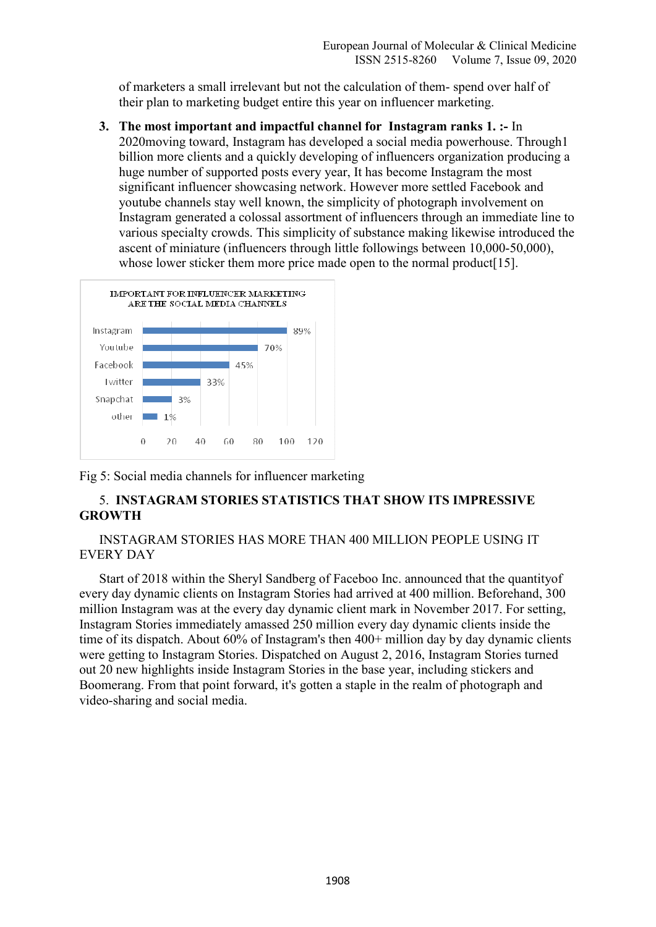of marketers a small irrelevant but not the calculation of them- spend over half of their plan to marketing budget entire this year on influencer marketing.

**3. The most important and impactful channel for Instagram ranks 1. :-** In 2020moving toward, Instagram has developed a social media powerhouse. Through1 billion more clients and a quickly developing of influencers organization producing a huge number of supported posts every year, It has become Instagram the most significant influencer showcasing network. However more settled Facebook and youtube channels stay well known, the simplicity of photograph involvement on Instagram generated a colossal assortment of influencers through an immediate line to various specialty crowds. This simplicity of substance making likewise introduced the ascent of miniature (influencers through little followings between 10,000-50,000), whose lower sticker them more price made open to the normal product [15].



Fig 5: Social media channels for influencer marketing

# 5. **INSTAGRAM STORIES STATISTICS THAT SHOW ITS IMPRESSIVE GROWTH**

# INSTAGRAM STORIES HAS MORE THAN 400 MILLION PEOPLE USING IT EVERY DAY

Start of 2018 within the Sheryl Sandberg of Faceboo Inc. announced that the quantityof every day dynamic clients on Instagram Stories had arrived at 400 million. Beforehand, 300 million Instagram was at the every day dynamic client mark in November 2017. For setting, Instagram Stories immediately amassed 250 million every day dynamic clients inside the time of its dispatch. About 60% of Instagram's then 400+ million day by day dynamic clients were getting to Instagram Stories. Dispatched on August 2, 2016, Instagram Stories turned out 20 new highlights inside Instagram Stories in the base year, including stickers and Boomerang. From that point forward, it's gotten a staple in the realm of photograph and video-sharing and social media.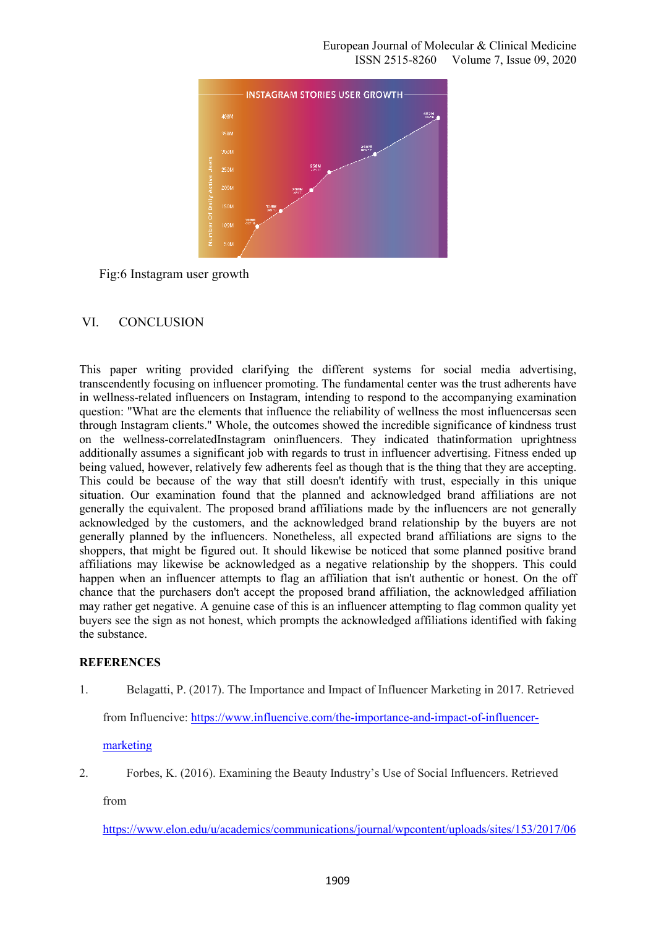

Fig:6 Instagram user growth

## VI. CONCLUSION

This paper writing provided clarifying the different systems for social media advertising, transcendently focusing on influencer promoting. The fundamental center was the trust adherents have in wellness-related influencers on Instagram, intending to respond to the accompanying examination question: "What are the elements that influence the reliability of wellness the most influencersas seen through Instagram clients." Whole, the outcomes showed the incredible significance of kindness trust on the wellness-correlatedInstagram oninfluencers. They indicated thatinformation uprightness additionally assumes a significant job with regards to trust in influencer advertising. Fitness ended up being valued, however, relatively few adherents feel as though that is the thing that they are accepting. This could be because of the way that still doesn't identify with trust, especially in this unique situation. Our examination found that the planned and acknowledged brand affiliations are not generally the equivalent. The proposed brand affiliations made by the influencers are not generally acknowledged by the customers, and the acknowledged brand relationship by the buyers are not generally planned by the influencers. Nonetheless, all expected brand affiliations are signs to the shoppers, that might be figured out. It should likewise be noticed that some planned positive brand affiliations may likewise be acknowledged as a negative relationship by the shoppers. This could happen when an influencer attempts to flag an affiliation that isn't authentic or honest. On the off chance that the purchasers don't accept the proposed brand affiliation, the acknowledged affiliation may rather get negative. A genuine case of this is an influencer attempting to flag common quality yet buyers see the sign as not honest, which prompts the acknowledged affiliations identified with faking the substance.

## **REFERENCES**

1. Belagatti, P. (2017). The Importance and Impact of Influencer Marketing in 2017. Retrieved

from Influencive: https://www.influencive.com/the-importance-and-impact-of-influencer-

## marketing

2. Forbes, K. (2016). Examining the Beauty Industry's Use of Social Influencers. Retrieved

from

https://www.elon.edu/u/academics/communications/journal/wpcontent/uploads/sites/153/2017/06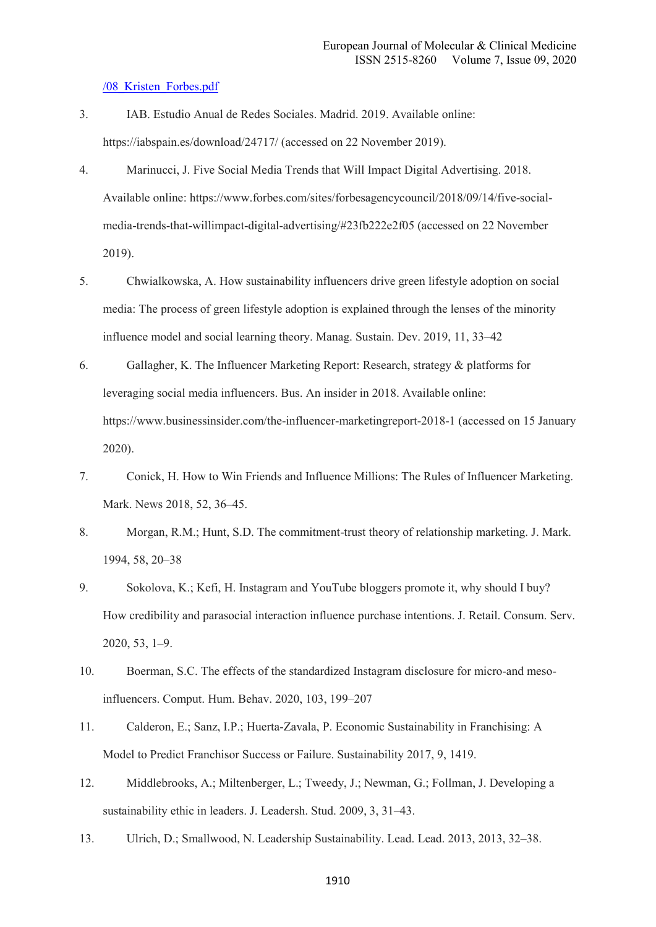#### /08\_Kristen\_Forbes.pdf

- 3. IAB. Estudio Anual de Redes Sociales. Madrid. 2019. Available online: https://iabspain.es/download/24717/ (accessed on 22 November 2019).
- 4. Marinucci, J. Five Social Media Trends that Will Impact Digital Advertising. 2018. Available online: https://www.forbes.com/sites/forbesagencycouncil/2018/09/14/five-socialmedia-trends-that-willimpact-digital-advertising/#23fb222e2f05 (accessed on 22 November 2019).
- 5. Chwialkowska, A. How sustainability influencers drive green lifestyle adoption on social media: The process of green lifestyle adoption is explained through the lenses of the minority influence model and social learning theory. Manag. Sustain. Dev. 2019, 11, 33–42
- 6. Gallagher, K. The Influencer Marketing Report: Research, strategy & platforms for leveraging social media influencers. Bus. An insider in 2018. Available online: https://www.businessinsider.com/the-influencer-marketingreport-2018-1 (accessed on 15 January 2020).
- 7. Conick, H. How to Win Friends and Influence Millions: The Rules of Influencer Marketing. Mark. News 2018, 52, 36–45.
- 8. Morgan, R.M.; Hunt, S.D. The commitment-trust theory of relationship marketing. J. Mark. 1994, 58, 20–38
- 9. Sokolova, K.; Kefi, H. Instagram and YouTube bloggers promote it, why should I buy? How credibility and parasocial interaction influence purchase intentions. J. Retail. Consum. Serv. 2020, 53, 1–9.
- 10. Boerman, S.C. The effects of the standardized Instagram disclosure for micro-and mesoinfluencers. Comput. Hum. Behav. 2020, 103, 199–207
- 11. Calderon, E.; Sanz, I.P.; Huerta-Zavala, P. Economic Sustainability in Franchising: A Model to Predict Franchisor Success or Failure. Sustainability 2017, 9, 1419.
- 12. Middlebrooks, A.; Miltenberger, L.; Tweedy, J.; Newman, G.; Follman, J. Developing a sustainability ethic in leaders. J. Leadersh. Stud. 2009, 3, 31–43.
- 13. Ulrich, D.; Smallwood, N. Leadership Sustainability. Lead. Lead. 2013, 2013, 32–38.